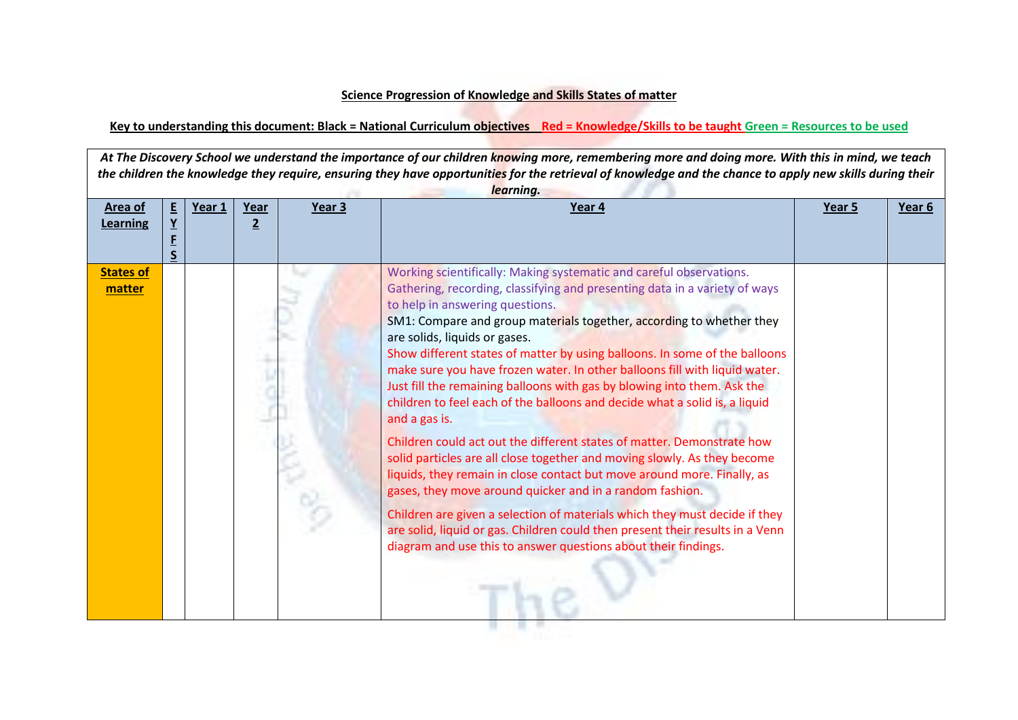## **Science Progression of Knowledge and Skills States of matter**

## **Key to understanding this document: Black = National Curriculum objectives Red = Knowledge/Skills to be taught Green = Resources to be used**

At The Discovery School we understand the importance of our children knowing more, remembering more and doing more. With this in mind, we teach *the children the knowledge they require, ensuring they have opportunities for the retrieval of knowledge and the chance to apply new skills during their learning.*

| Area of                    | E | Year 1 | Year           | Year 3 | Year 4                                                                                                                                                                                                                                                                                                                                                                                                                                                                                                                                                                                                                                                                                                                                                                                                                                                                                                                                                                                                                                                                                                                                                            | Year 5 | Year 6 |
|----------------------------|---|--------|----------------|--------|-------------------------------------------------------------------------------------------------------------------------------------------------------------------------------------------------------------------------------------------------------------------------------------------------------------------------------------------------------------------------------------------------------------------------------------------------------------------------------------------------------------------------------------------------------------------------------------------------------------------------------------------------------------------------------------------------------------------------------------------------------------------------------------------------------------------------------------------------------------------------------------------------------------------------------------------------------------------------------------------------------------------------------------------------------------------------------------------------------------------------------------------------------------------|--------|--------|
| <b>Learning</b>            |   |        | $\overline{2}$ |        |                                                                                                                                                                                                                                                                                                                                                                                                                                                                                                                                                                                                                                                                                                                                                                                                                                                                                                                                                                                                                                                                                                                                                                   |        |        |
|                            |   |        |                |        |                                                                                                                                                                                                                                                                                                                                                                                                                                                                                                                                                                                                                                                                                                                                                                                                                                                                                                                                                                                                                                                                                                                                                                   |        |        |
|                            |   |        |                |        |                                                                                                                                                                                                                                                                                                                                                                                                                                                                                                                                                                                                                                                                                                                                                                                                                                                                                                                                                                                                                                                                                                                                                                   |        |        |
| <b>States of</b><br>matter |   |        |                |        | Working scientifically: Making systematic and careful observations.<br>Gathering, recording, classifying and presenting data in a variety of ways<br>to help in answering questions.<br>SM1: Compare and group materials together, according to whether they<br>are solids, liquids or gases.<br>Show different states of matter by using balloons. In some of the balloons<br>make sure you have frozen water. In other balloons fill with liquid water.<br>Just fill the remaining balloons with gas by blowing into them. Ask the<br>children to feel each of the balloons and decide what a solid is, a liquid<br>and a gas is.<br>Children could act out the different states of matter. Demonstrate how<br>solid particles are all close together and moving slowly. As they become<br>liquids, they remain in close contact but move around more. Finally, as<br>gases, they move around quicker and in a random fashion.<br>Children are given a selection of materials which they must decide if they<br>are solid, liquid or gas. Children could then present their results in a Venn<br>diagram and use this to answer questions about their findings. |        |        |

. . . . . .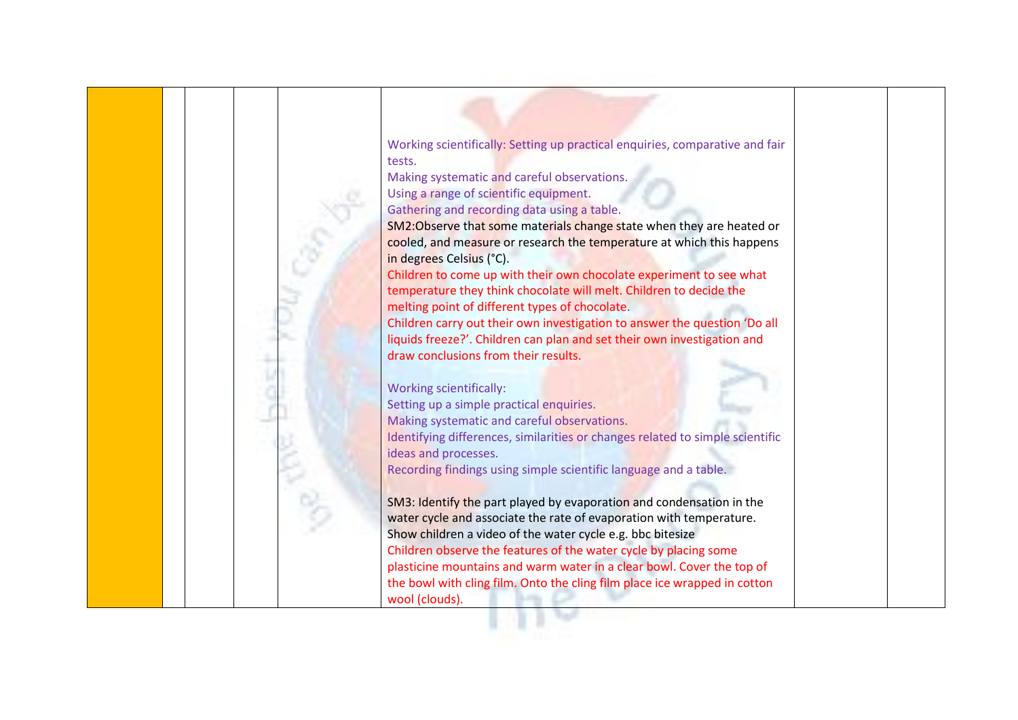

Working scientifically: Setting up practical enquiries, comparative and fair tests.

Making systematic and careful observations. Using a range of scientific equipment. Gathering and recording data using a table.

SM2:Observe that some materials change state when they are heated or cooled, and measure or research the temperature at which this happens in degrees Celsius (°C).

Children to come up with their own chocolate experiment to see what temperature they think chocolate will melt. Children to decide the melting point of different types of chocolate.

Children carry out their own investigation to answer the question 'Do all liquids freeze?'. Children can plan and set their own investigation and draw conclusions from their results.

Working scientifically:

Setting up a simple practical enquiries. Making systematic and careful observations. Identifying differences, similarities or changes related to simple scientific ideas and processes. Recording findings using simple scientific language and a table.

SM3: Identify the part played by evaporation and condensation in the water cycle and associate the rate of evaporation with temperature. Show children a video of the water cycle e.g. bbc bitesize Children observe the features of the water cycle by placing some plasticine mountains and warm water in a clear bowl. Cover the top of the bowl with cling film. Onto the cling film place ice wrapped in cotton wool (clouds).

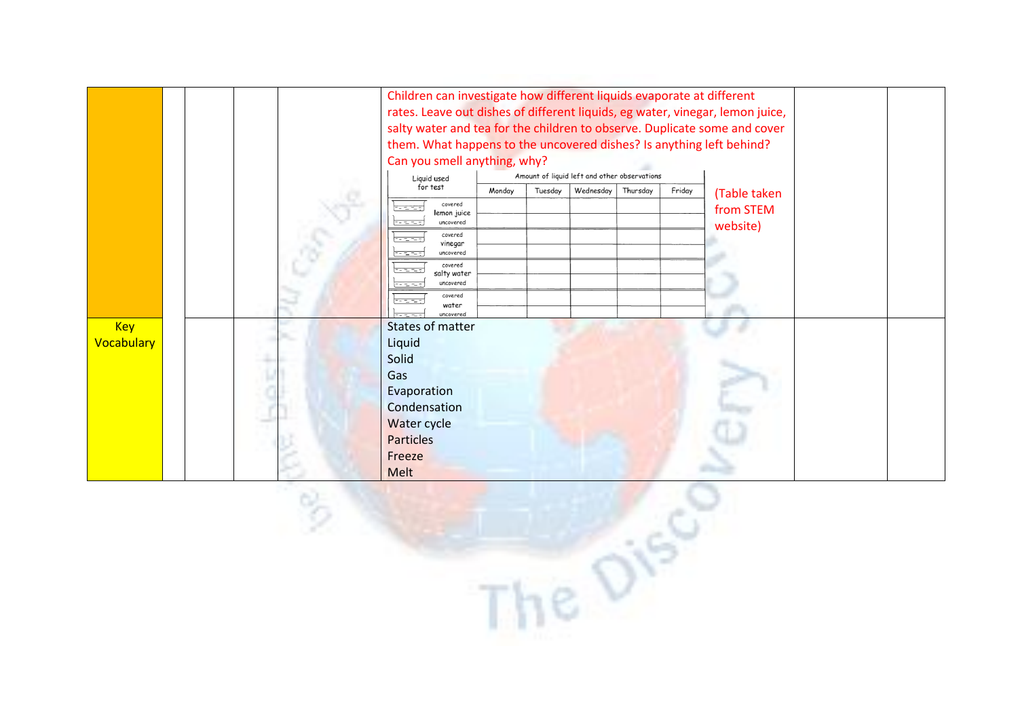|                   |  |  |  | Children can investigate how different liquids evaporate at different<br>rates. Leave out dishes of different liquids, eg water, vinegar, lemon juice,<br>salty water and tea for the children to observe. Duplicate some and cover<br>them. What happens to the uncovered dishes? Is anything left behind? |        |         |                                              |          |        |                       |  |
|-------------------|--|--|--|-------------------------------------------------------------------------------------------------------------------------------------------------------------------------------------------------------------------------------------------------------------------------------------------------------------|--------|---------|----------------------------------------------|----------|--------|-----------------------|--|
|                   |  |  |  | Can you smell anything, why?                                                                                                                                                                                                                                                                                |        |         |                                              |          |        |                       |  |
|                   |  |  |  | Liquid used                                                                                                                                                                                                                                                                                                 |        |         | Amount of liquid left and other observations |          |        |                       |  |
|                   |  |  |  | for test                                                                                                                                                                                                                                                                                                    | Monday | Tuesday | Wednesday                                    | Thursday | Friday | (Table taken          |  |
|                   |  |  |  | covered<br>lemon juice<br>uncovered                                                                                                                                                                                                                                                                         |        |         |                                              |          |        | from STEM<br>website) |  |
|                   |  |  |  | covered<br>- 12 Tur<br>vinegar<br>uncovered<br>r e e                                                                                                                                                                                                                                                        |        |         |                                              |          |        |                       |  |
|                   |  |  |  | covered<br>ಾಮಾನ<br>salty water<br>uncovered<br>rentantan                                                                                                                                                                                                                                                    |        |         |                                              |          |        |                       |  |
|                   |  |  |  | covered<br>water<br>uncovered                                                                                                                                                                                                                                                                               |        |         |                                              |          |        |                       |  |
| <b>Key</b>        |  |  |  | <b>States of matter</b>                                                                                                                                                                                                                                                                                     |        |         |                                              |          |        |                       |  |
| <b>Vocabulary</b> |  |  |  | Liquid                                                                                                                                                                                                                                                                                                      |        |         |                                              |          |        |                       |  |
|                   |  |  |  | Solid                                                                                                                                                                                                                                                                                                       |        |         |                                              |          |        |                       |  |
|                   |  |  |  | Gas                                                                                                                                                                                                                                                                                                         |        |         |                                              |          |        |                       |  |
|                   |  |  |  | Evaporation                                                                                                                                                                                                                                                                                                 |        |         |                                              |          |        |                       |  |
|                   |  |  |  | Condensation                                                                                                                                                                                                                                                                                                |        |         |                                              |          |        |                       |  |
|                   |  |  |  | Water cycle                                                                                                                                                                                                                                                                                                 |        |         |                                              |          |        |                       |  |
|                   |  |  |  | <b>Particles</b>                                                                                                                                                                                                                                                                                            |        |         |                                              |          |        |                       |  |
|                   |  |  |  | Freeze                                                                                                                                                                                                                                                                                                      |        |         |                                              |          |        |                       |  |
|                   |  |  |  | Melt                                                                                                                                                                                                                                                                                                        |        |         |                                              |          |        |                       |  |

The D<sup>15</sup>

 $\circ$